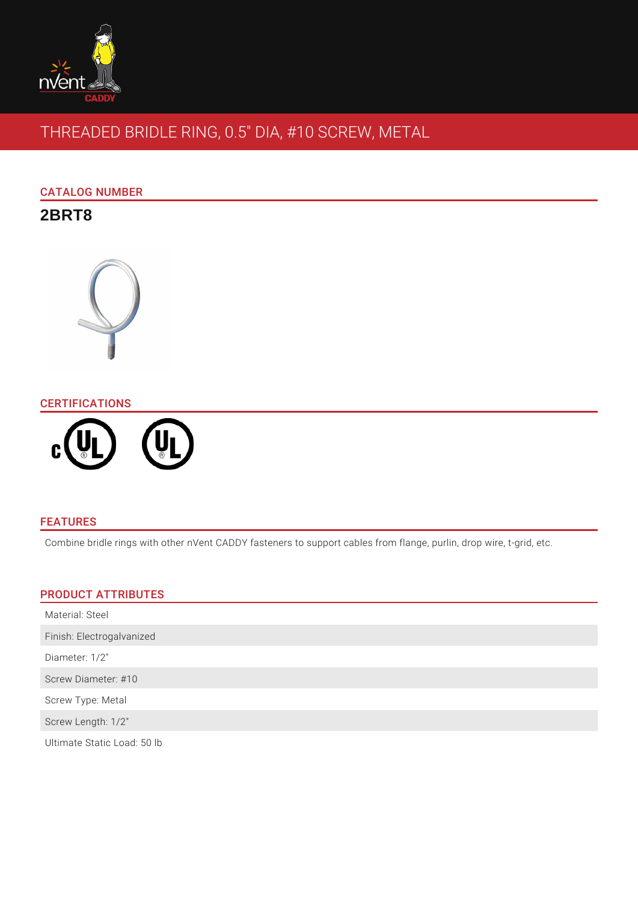

# THREADED BRIDLE RING, 0.5" DIA, #10 SCREW, METAL

## CATALOG NUMBER

# **2BRT8**



## **CERTIFICATIONS**



## FEATURES

Combine bridle rings with other nVent CADDY fasteners to support cables from flange, purlin, drop wire, t-grid, etc.

## PRODUCT ATTRIBUTES

| Material: Steel           |  |
|---------------------------|--|
| Finish: Electrogalvanized |  |
| Diameter: 1/2"            |  |
| Screw Diameter: #10       |  |
| Screw Type: Metal         |  |
| Screw Length: 1/2"        |  |
|                           |  |

Ultimate Static Load: 50 lb